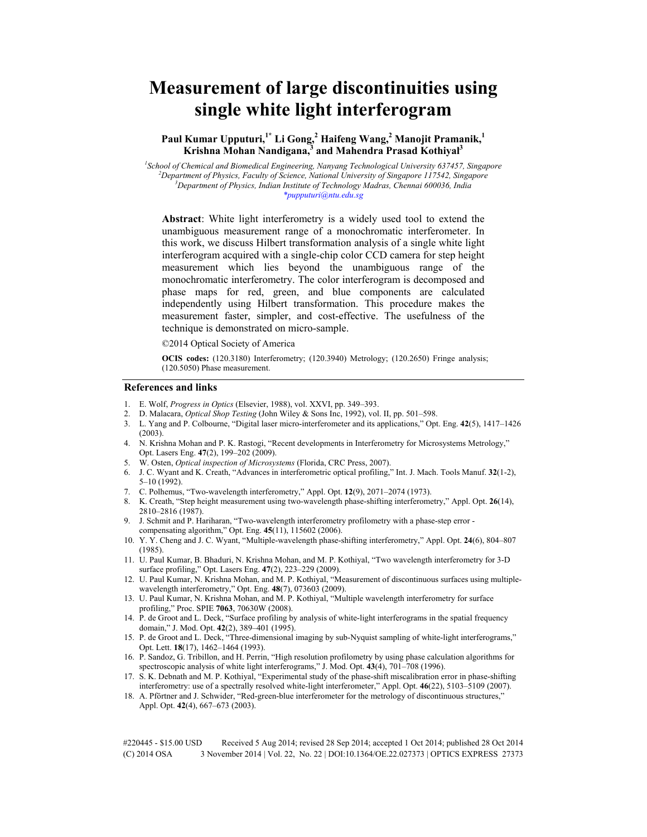# **Measurement of large discontinuities using single white light interferogram**

# **Paul Kumar Upputuri,1\* Li Gong,<sup>2</sup> Haifeng Wang,<sup>2</sup> Manojit Pramanik,<sup>1</sup> Krishna Mohan Nandigana,<sup>3</sup> and Mahendra Prasad Kothiyal<sup>3</sup>**

 *School of Chemical and Biomedical Engineering, Nanyang Technological University 637457, Singapore Department of Physics, Faculty of Science, National University of Singapore 117542, Singapore Department of Physics, Indian Institute of Technology Madras, Chennai 600036, India \*pupputuri@ntu.edu.sg* 

**Abstract**: White light interferometry is a widely used tool to extend the unambiguous measurement range of a monochromatic interferometer. In this work, we discuss Hilbert transformation analysis of a single white light interferogram acquired with a single-chip color CCD camera for step height measurement which lies beyond the unambiguous range of the monochromatic interferometry. The color interferogram is decomposed and phase maps for red, green, and blue components are calculated independently using Hilbert transformation. This procedure makes the measurement faster, simpler, and cost-effective. The usefulness of the technique is demonstrated on micro-sample.

©2014 Optical Society of America

**OCIS codes:** (120.3180) Interferometry; (120.3940) Metrology; (120.2650) Fringe analysis; (120.5050) Phase measurement.

#### **References and links**

- 1. E. Wolf, *Progress in Optics* (Elsevier, 1988), vol. XXVI, pp. 349–393.
- 2. D. Malacara, *Optical Shop Testing* (John Wiley & Sons Inc, 1992), vol. II, pp. 501–598.
- 3. L. Yang and P. Colbourne, "Digital laser micro-interferometer and its applications," Opt. Eng. **42**(5), 1417–1426  $(2003)$ .
- 4. N. Krishna Mohan and P. K. Rastogi, "Recent developments in Interferometry for Microsystems Metrology," Opt. Lasers Eng. **47**(2), 199–202 (2009).
- 5. W. Osten, *Optical inspection of Microsystems* (Florida, CRC Press, 2007).
- 6. J. C. Wyant and K. Creath, "Advances in interferometric optical profiling," Int. J. Mach. Tools Manuf. **32**(1-2), 5–10 (1992).
- 7. C. Polhemus, "Two-wavelength interferometry," Appl. Opt. **12**(9), 2071–2074 (1973).
- 8. K. Creath, "Step height measurement using two-wavelength phase-shifting interferometry," Appl. Opt. **26**(14), 2810–2816 (1987).
- 9. J. Schmit and P. Hariharan, "Two-wavelength interferometry profilometry with a phase-step error compensating algorithm," Opt. Eng. **45**(11), 115602 (2006).
- 10. Y. Y. Cheng and J. C. Wyant, "Multiple-wavelength phase-shifting interferometry," Appl. Opt. **24**(6), 804–807 (1985).
- 11. U. Paul Kumar, B. Bhaduri, N. Krishna Mohan, and M. P. Kothiyal, "Two wavelength interferometry for 3-D surface profiling," Opt. Lasers Eng. **47**(2), 223–229 (2009).
- 12. U. Paul Kumar, N. Krishna Mohan, and M. P. Kothiyal, "Measurement of discontinuous surfaces using multiplewavelength interferometry," Opt. Eng. **48**(7), 073603 (2009).
- 13. U. Paul Kumar, N. Krishna Mohan, and M. P. Kothiyal, "Multiple wavelength interferometry for surface profiling," Proc. SPIE **7063**, 70630W (2008).
- 14. P. de Groot and L. Deck, "Surface profiling by analysis of white-light interferograms in the spatial frequency domain," J. Mod. Opt. **42**(2), 389–401 (1995).
- 15. P. de Groot and L. Deck, "Three-dimensional imaging by sub-Nyquist sampling of white-light interferograms," Opt. Lett. **18**(17), 1462–1464 (1993).
- 16. P. Sandoz, G. Tribillon, and H. Perrin, "High resolution profilometry by using phase calculation algorithms for spectroscopic analysis of white light interferograms," J. Mod. Opt. **43**(4), 701–708 (1996).
- 17. S. K. Debnath and M. P. Kothiyal, "Experimental study of the phase-shift miscalibration error in phase-shifting interferometry: use of a spectrally resolved white-light interferometer," Appl. Opt. **46**(22), 5103–5109 (2007).
- 18. A. Pförtner and J. Schwider, "Red-green-blue interferometer for the metrology of discontinuous structures," Appl. Opt. **42**(4), 667–673 (2003).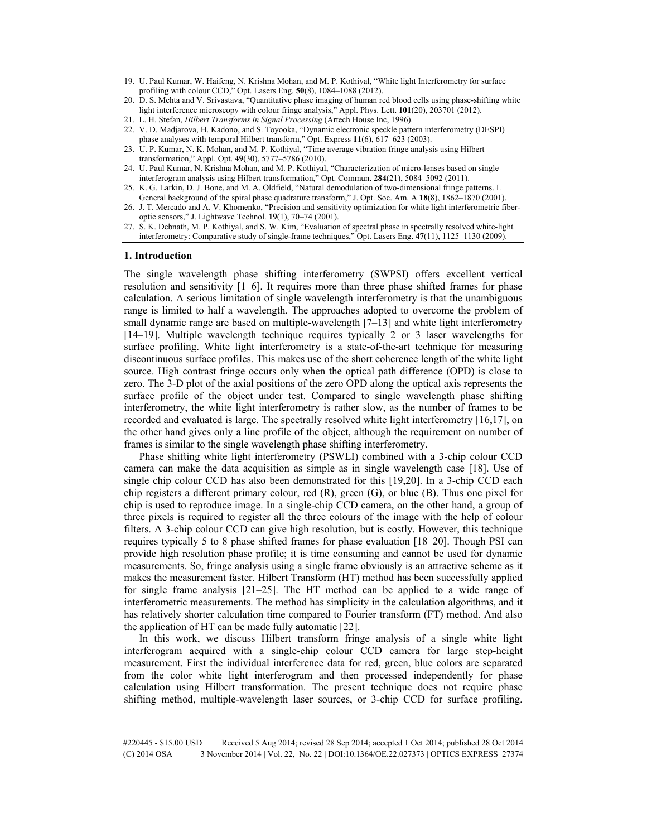- 19. U. Paul Kumar, W. Haifeng, N. Krishna Mohan, and M. P. Kothiyal, "White light Interferometry for surface profiling with colour CCD," Opt. Lasers Eng. **50**(8), 1084–1088 (2012).
- 20. D. S. Mehta and V. Srivastava, "Quantitative phase imaging of human red blood cells using phase-shifting white light interference microscopy with colour fringe analysis," Appl. Phys. Lett. **101**(20), 203701 (2012).
- 21. L. H. Stefan, *Hilbert Transforms in Signal Processing* (Artech House Inc, 1996).
- 22. V. D. Madjarova, H. Kadono, and S. Toyooka, "Dynamic electronic speckle pattern interferometry (DESPI)
- phase analyses with temporal Hilbert transform," Opt. Express **11**(6), 617–623 (2003).
- 23. U. P. Kumar, N. K. Mohan, and M. P. Kothiyal, "Time average vibration fringe analysis using Hilbert transformation," Appl. Opt. **49**(30), 5777–5786 (2010).
- 24. U. Paul Kumar, N. Krishna Mohan, and M. P. Kothiyal, "Characterization of micro-lenses based on single interferogram analysis using Hilbert transformation," Opt. Commun. **284**(21), 5084–5092 (2011).
- 25. K. G. Larkin, D. J. Bone, and M. A. Oldfield, "Natural demodulation of two-dimensional fringe patterns. I. General background of the spiral phase quadrature transform," J. Opt. Soc. Am. A **18**(8), 1862–1870 (2001).
- 26. J. T. Mercado and A. V. Khomenko, "Precision and sensitivity optimization for white light interferometric fiberoptic sensors," J. Lightwave Technol. **19**(1), 70–74 (2001).
- 27. S. K. Debnath, M. P. Kothiyal, and S. W. Kim, "Evaluation of spectral phase in spectrally resolved white-light interferometry: Comparative study of single-frame techniques," Opt. Lasers Eng. **47**(11), 1125–1130 (2009).

#### **1. Introduction**

The single wavelength phase shifting interferometry (SWPSI) offers excellent vertical resolution and sensitivity [1–6]. It requires more than three phase shifted frames for phase calculation. A serious limitation of single wavelength interferometry is that the unambiguous range is limited to half a wavelength. The approaches adopted to overcome the problem of small dynamic range are based on multiple-wavelength [7–13] and white light interferometry [14–19]. Multiple wavelength technique requires typically 2 or 3 laser wavelengths for surface profiling. White light interferometry is a state-of-the-art technique for measuring discontinuous surface profiles. This makes use of the short coherence length of the white light source. High contrast fringe occurs only when the optical path difference (OPD) is close to zero. The 3-D plot of the axial positions of the zero OPD along the optical axis represents the surface profile of the object under test. Compared to single wavelength phase shifting interferometry, the white light interferometry is rather slow, as the number of frames to be recorded and evaluated is large. The spectrally resolved white light interferometry [16,17], on the other hand gives only a line profile of the object, although the requirement on number of frames is similar to the single wavelength phase shifting interferometry.

Phase shifting white light interferometry (PSWLI) combined with a 3-chip colour CCD camera can make the data acquisition as simple as in single wavelength case [18]. Use of single chip colour CCD has also been demonstrated for this [19,20]. In a 3-chip CCD each chip registers a different primary colour, red (R), green (G), or blue (B). Thus one pixel for chip is used to reproduce image. In a single-chip CCD camera, on the other hand, a group of three pixels is required to register all the three colours of the image with the help of colour filters. A 3-chip colour CCD can give high resolution, but is costly. However, this technique requires typically 5 to 8 phase shifted frames for phase evaluation [18–20]. Though PSI can provide high resolution phase profile; it is time consuming and cannot be used for dynamic measurements. So, fringe analysis using a single frame obviously is an attractive scheme as it makes the measurement faster. Hilbert Transform (HT) method has been successfully applied for single frame analysis [21–25]. The HT method can be applied to a wide range of interferometric measurements. The method has simplicity in the calculation algorithms, and it has relatively shorter calculation time compared to Fourier transform (FT) method. And also the application of HT can be made fully automatic [22].

In this work, we discuss Hilbert transform fringe analysis of a single white light interferogram acquired with a single-chip colour CCD camera for large step-height measurement. First the individual interference data for red, green, blue colors are separated from the color white light interferogram and then processed independently for phase calculation using Hilbert transformation. The present technique does not require phase shifting method, multiple-wavelength laser sources, or 3-chip CCD for surface profiling.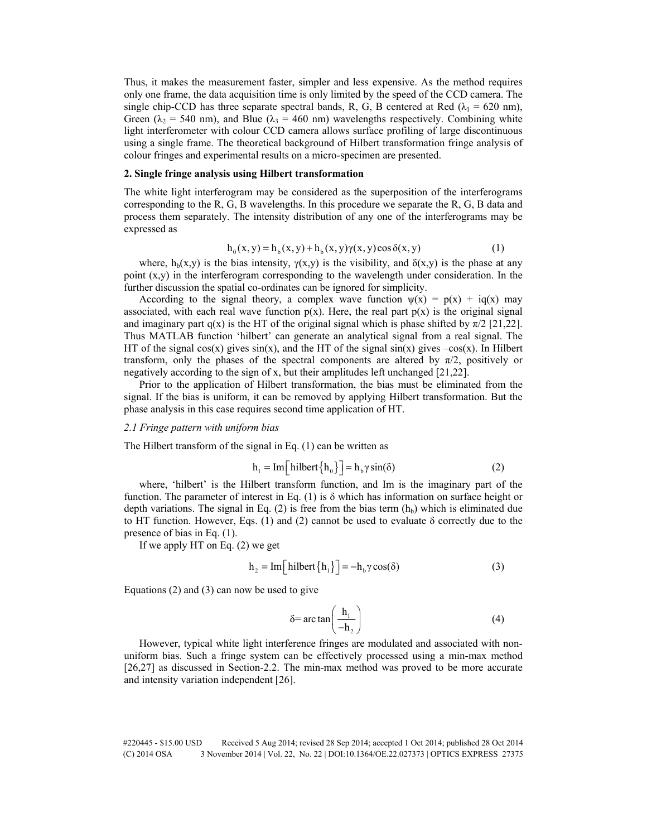Thus, it makes the measurement faster, simpler and less expensive. As the method requires only one frame, the data acquisition time is only limited by the speed of the CCD camera. The single chip-CCD has three separate spectral bands, R, G, B centered at Red ( $\lambda_1$  = 620 nm), Green ( $\lambda_2$  = 540 nm), and Blue ( $\lambda_3$  = 460 nm) wavelengths respectively. Combining white light interferometer with colour CCD camera allows surface profiling of large discontinuous using a single frame. The theoretical background of Hilbert transformation fringe analysis of colour fringes and experimental results on a micro-specimen are presented.

# **2. Single fringe analysis using Hilbert transformation**

The white light interferogram may be considered as the superposition of the interferograms corresponding to the R, G, B wavelengths. In this procedure we separate the R, G, B data and process them separately. The intensity distribution of any one of the interferograms may be expressed as

$$
h_0(x, y) = h_b(x, y) + h_b(x, y) \gamma(x, y) \cos \delta(x, y)
$$
 (1)

where,  $h_b(x,y)$  is the bias intensity,  $\gamma(x,y)$  is the visibility, and  $\delta(x,y)$  is the phase at any point  $(x,y)$  in the interferogram corresponding to the wavelength under consideration. In the further discussion the spatial co-ordinates can be ignored for simplicity.

According to the signal theory, a complex wave function  $\psi(x) = p(x) + iq(x)$  may associated, with each real wave function  $p(x)$ . Here, the real part  $p(x)$  is the original signal and imaginary part q(x) is the HT of the original signal which is phase shifted by  $\pi/2$  [21,22]. Thus MATLAB function 'hilbert' can generate an analytical signal from a real signal. The HT of the signal  $cos(x)$  gives  $sin(x)$ , and the HT of the signal  $sin(x)$  gives  $-cos(x)$ . In Hilbert transform, only the phases of the spectral components are altered by  $\pi/2$ , positively or negatively according to the sign of x, but their amplitudes left unchanged [21,22].

Prior to the application of Hilbert transformation, the bias must be eliminated from the signal. If the bias is uniform, it can be removed by applying Hilbert transformation. But the phase analysis in this case requires second time application of HT.

## *2.1 Fringe pattern with uniform bias*

The Hilbert transform of the signal in Eq. (1) can be written as

$$
h_1 = Im \left[ \text{hilbert} \{ h_0 \} \right] = h_b \gamma \sin(\delta) \tag{2}
$$

where, 'hilbert' is the Hilbert transform function, and Im is the imaginary part of the function. The parameter of interest in Eq. (1) is  $\delta$  which has information on surface height or depth variations. The signal in Eq. (2) is free from the bias term  $(h_b)$  which is eliminated due to HT function. However, Eqs. (1) and (2) cannot be used to evaluate  $\delta$  correctly due to the presence of bias in Eq. (1).

If we apply HT on Eq. (2) we get

$$
h_2 = Im\left[\text{hilbert}\left\{h_1\right\}\right] = -h_b \gamma \cos(\delta) \tag{3}
$$

Equations (2) and (3) can now be used to give

$$
\delta = \arctan\left(\frac{h_1}{-h_2}\right) \tag{4}
$$

However, typical white light interference fringes are modulated and associated with nonuniform bias. Such a fringe system can be effectively processed using a min-max method [26,27] as discussed in Section-2.2. The min-max method was proved to be more accurate and intensity variation independent [26].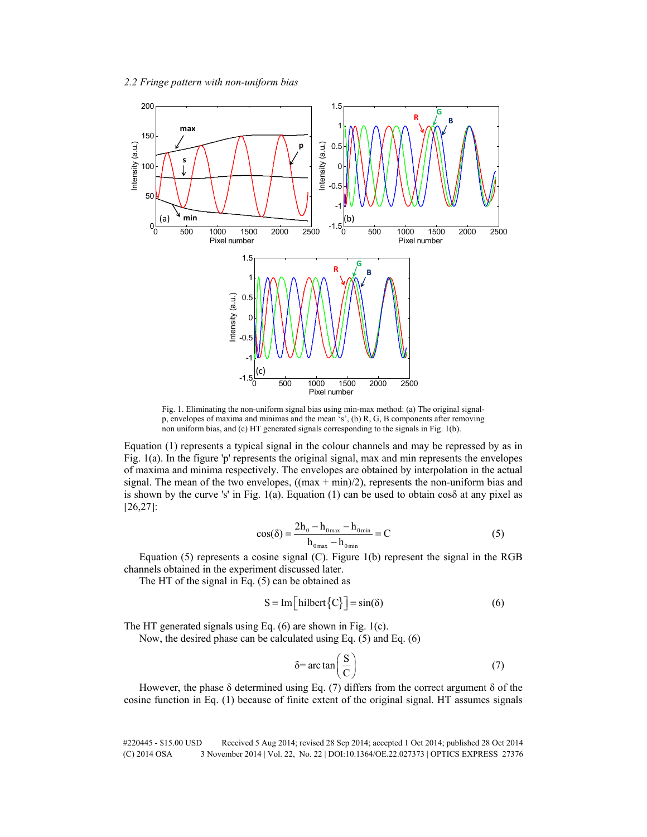

Fig. 1. Eliminating the non-uniform signal bias using min-max method: (a) The original signalp, envelopes of maxima and minimas and the mean 's', (b) R, G, B components after removing non uniform bias, and (c) HT generated signals corresponding to the signals in Fig. 1(b).

Equation (1) represents a typical signal in the colour channels and may be repressed by as in Fig. 1(a). In the figure 'p' represents the original signal, max and min represents the envelopes of maxima and minima respectively. The envelopes are obtained by interpolation in the actual signal. The mean of the two envelopes,  $((\text{max} + \text{min})/2)$ , represents the non-uniform bias and is shown by the curve 's' in Fig. 1(a). Equation (1) can be used to obtain  $\cos\delta$  at any pixel as [26,27]:

$$
\cos(\delta) = \frac{2h_0 - h_{0max} - h_{0min}}{h_{0max} - h_{0min}} = C
$$
 (5)

Equation (5) represents a cosine signal (C). Figure 1(b) represent the signal in the RGB channels obtained in the experiment discussed later.

The HT of the signal in Eq. (5) can be obtained as

$$
S = Im \left[ \text{hilbert} \{ C \} \right] = \sin(\delta) \tag{6}
$$

The HT generated signals using Eq. (6) are shown in Fig. 1(c).

Now, the desired phase can be calculated using Eq. (5) and Eq. (6)

$$
\delta = \arctan\left(\frac{S}{C}\right) \tag{7}
$$

However, the phase  $\delta$  determined using Eq. (7) differs from the correct argument  $\delta$  of the cosine function in Eq. (1) because of finite extent of the original signal. HT assumes signals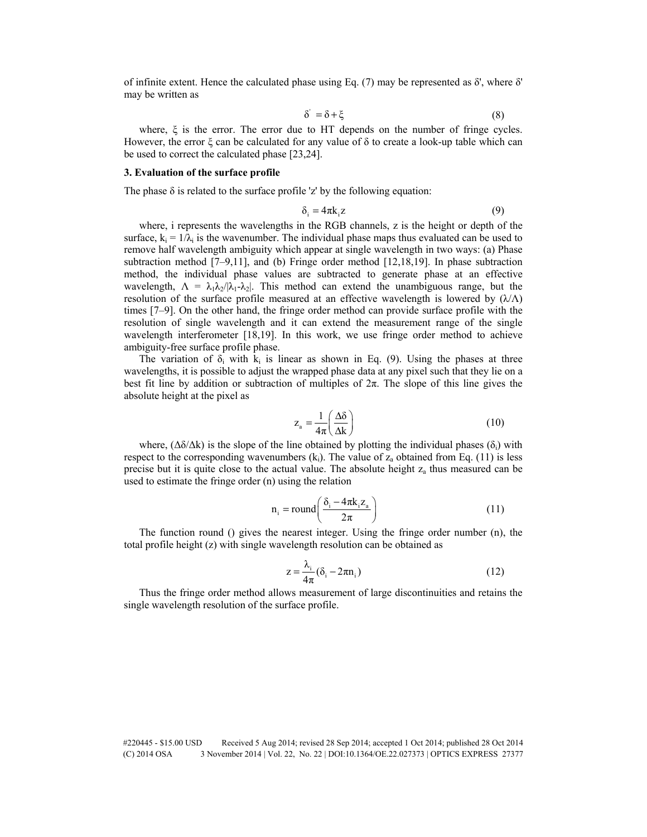of infinite extent. Hence the calculated phase using Eq. (7) may be represented as δ', where δ' may be written as

$$
\delta' = \delta + \xi \tag{8}
$$

where, ξ is the error. The error due to HT depends on the number of fringe cycles. However, the error  $\xi$  can be calculated for any value of  $\delta$  to create a look-up table which can be used to correct the calculated phase [23,24].

## **3. Evaluation of the surface profile**

The phase  $\delta$  is related to the surface profile 'z' by the following equation:

$$
\delta_i = 4\pi k_i z \tag{9}
$$

where, i represents the wavelengths in the RGB channels, z is the height or depth of the surface,  $k_i = 1/\lambda_i$  is the wavenumber. The individual phase maps thus evaluated can be used to remove half wavelength ambiguity which appear at single wavelength in two ways: (a) Phase subtraction method [7–9,11], and (b) Fringe order method [12,18,19]. In phase subtraction method, the individual phase values are subtracted to generate phase at an effective wavelength,  $\Lambda = \lambda_1 \lambda_2 / |\lambda_1 - \lambda_2|$ . This method can extend the unambiguous range, but the resolution of the surface profile measured at an effective wavelength is lowered by  $(\lambda/\Lambda)$ times [7–9]. On the other hand, the fringe order method can provide surface profile with the resolution of single wavelength and it can extend the measurement range of the single wavelength interferometer [18,19]. In this work, we use fringe order method to achieve ambiguity-free surface profile phase.

The variation of  $\delta_i$  with  $k_i$  is linear as shown in Eq. (9). Using the phases at three wavelengths, it is possible to adjust the wrapped phase data at any pixel such that they lie on a best fit line by addition or subtraction of multiples of  $2\pi$ . The slope of this line gives the absolute height at the pixel as

$$
z_{a} = \frac{1}{4\pi} \left(\frac{\Delta\delta}{\Delta k}\right) \tag{10}
$$

where,  $(\Delta \delta / \Delta k)$  is the slope of the line obtained by plotting the individual phases ( $\delta_i$ ) with respect to the corresponding wavenumbers  $(k<sub>i</sub>)$ . The value of  $z<sub>a</sub>$  obtained from Eq. (11) is less precise but it is quite close to the actual value. The absolute height  $z_a$  thus measured can be used to estimate the fringe order (n) using the relation

$$
n_i = round\left(\frac{\delta_i - 4\pi k_i z_a}{2\pi}\right)
$$
 (11)

The function round () gives the nearest integer. Using the fringe order number (n), the total profile height (z) with single wavelength resolution can be obtained as

$$
z = \frac{\lambda_i}{4\pi} (\delta_i - 2\pi n_i)
$$
 (12)

Thus the fringe order method allows measurement of large discontinuities and retains the single wavelength resolution of the surface profile.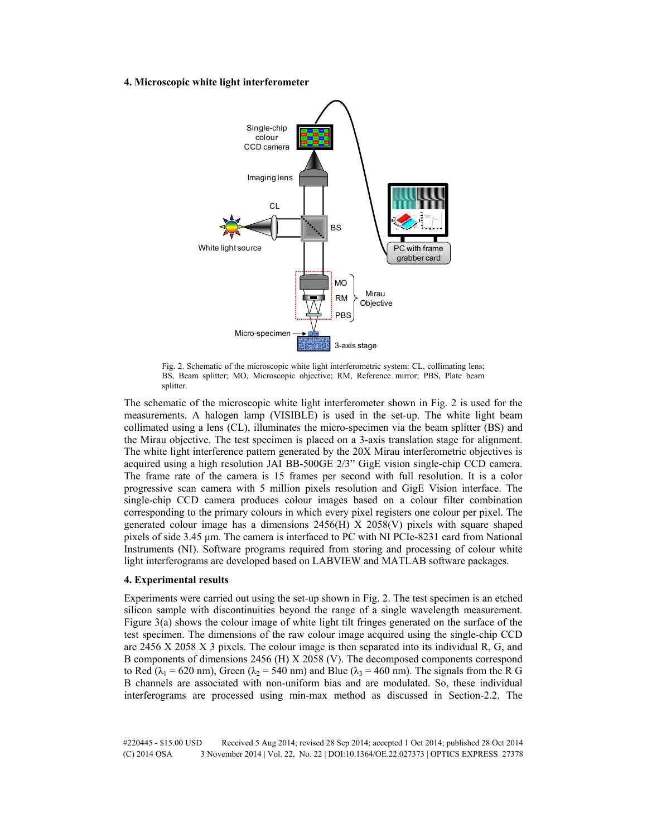## **4. Microscopic white light interferometer**



Fig. 2. Schematic of the microscopic white light interferometric system: CL, collimating lens; BS, Beam splitter; MO, Microscopic objective; RM, Reference mirror; PBS, Plate beam splitter.

The schematic of the microscopic white light interferometer shown in Fig. 2 is used for the measurements. A halogen lamp (VISIBLE) is used in the set-up. The white light beam collimated using a lens (CL), illuminates the micro-specimen via the beam splitter (BS) and the Mirau objective. The test specimen is placed on a 3-axis translation stage for alignment. The white light interference pattern generated by the 20X Mirau interferometric objectives is acquired using a high resolution JAI BB-500GE 2/3" GigE vision single-chip CCD camera. The frame rate of the camera is 15 frames per second with full resolution. It is a color progressive scan camera with 5 million pixels resolution and GigE Vision interface. The single-chip CCD camera produces colour images based on a colour filter combination corresponding to the primary colours in which every pixel registers one colour per pixel. The generated colour image has a dimensions 2456(H) X 2058(V) pixels with square shaped pixels of side 3.45 μm. The camera is interfaced to PC with NI PCIe-8231 card from National Instruments (NI). Software programs required from storing and processing of colour white light interferograms are developed based on LABVIEW and MATLAB software packages.

#### **4. Experimental results**

Experiments were carried out using the set-up shown in Fig. 2. The test specimen is an etched silicon sample with discontinuities beyond the range of a single wavelength measurement. Figure 3(a) shows the colour image of white light tilt fringes generated on the surface of the test specimen. The dimensions of the raw colour image acquired using the single-chip CCD are 2456 X 2058 X 3 pixels. The colour image is then separated into its individual R, G, and B components of dimensions 2456 (H) X 2058 (V). The decomposed components correspond to Red ( $\lambda_1$  = 620 nm), Green ( $\lambda_2$  = 540 nm) and Blue ( $\lambda_3$  = 460 nm). The signals from the R G B channels are associated with non-uniform bias and are modulated. So, these individual interferograms are processed using min-max method as discussed in Section-2.2. The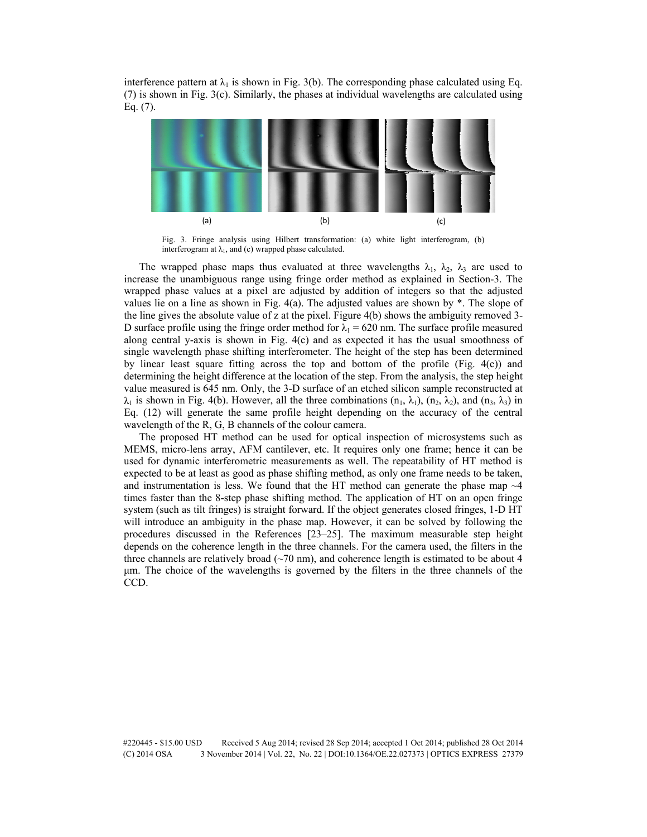interference pattern at  $\lambda_1$  is shown in Fig. 3(b). The corresponding phase calculated using Eq. (7) is shown in Fig. 3(c). Similarly, the phases at individual wavelengths are calculated using Eq. (7).



Fig. 3. Fringe analysis using Hilbert transformation: (a) white light interferogram, (b) interferogram at  $\lambda_1$ , and (c) wrapped phase calculated.

The wrapped phase maps thus evaluated at three wavelengths  $\lambda_1$ ,  $\lambda_2$ ,  $\lambda_3$  are used to increase the unambiguous range using fringe order method as explained in Section-3. The wrapped phase values at a pixel are adjusted by addition of integers so that the adjusted values lie on a line as shown in Fig.  $4(a)$ . The adjusted values are shown by  $*$ . The slope of the line gives the absolute value of z at the pixel. Figure 4(b) shows the ambiguity removed 3- D surface profile using the fringe order method for  $\lambda_1 = 620$  nm. The surface profile measured along central y-axis is shown in Fig. 4(c) and as expected it has the usual smoothness of single wavelength phase shifting interferometer. The height of the step has been determined by linear least square fitting across the top and bottom of the profile (Fig.  $4(c)$ ) and determining the height difference at the location of the step. From the analysis, the step height value measured is 645 nm. Only, the 3-D surface of an etched silicon sample reconstructed at  $\lambda_1$  is shown in Fig. 4(b). However, all the three combinations  $(n_1, \lambda_1)$ ,  $(n_2, \lambda_2)$ , and  $(n_3, \lambda_3)$  in Eq. (12) will generate the same profile height depending on the accuracy of the central wavelength of the R, G, B channels of the colour camera.

The proposed HT method can be used for optical inspection of microsystems such as MEMS, micro-lens array, AFM cantilever, etc. It requires only one frame; hence it can be used for dynamic interferometric measurements as well. The repeatability of HT method is expected to be at least as good as phase shifting method, as only one frame needs to be taken, and instrumentation is less. We found that the HT method can generate the phase map  $\sim$ 4 times faster than the 8-step phase shifting method. The application of HT on an open fringe system (such as tilt fringes) is straight forward. If the object generates closed fringes, 1-D HT will introduce an ambiguity in the phase map. However, it can be solved by following the procedures discussed in the References [23–25]. The maximum measurable step height depends on the coherence length in the three channels. For the camera used, the filters in the three channels are relatively broad  $({\sim}70 \text{ nm})$ , and coherence length is estimated to be about 4 μm. The choice of the wavelengths is governed by the filters in the three channels of the CCD.